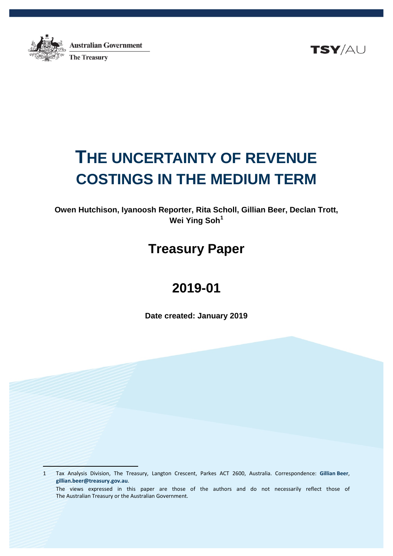

 $\frac{1}{2}$ 

**Australian Government The Treasury** 

TSY/AU

# **THE UNCERTAINTY OF REVENUE COSTINGS IN THE MEDIUM TERM**

**Owen Hutchison, Iyanoosh Reporter, Rita Scholl, Gillian Beer, Declan Trott, Wei Ying Soh[1](#page-0-0)**

# **Treasury Paper**

# **2019-01**

**Date created: January 2019**

<span id="page-0-0"></span>1 Tax Analysis Division, The Treasury, Langton Crescent, Parkes ACT 2600, Australia. Correspondence: **Gillian Beer**, **[gillian.beer@treasury.gov.au](mailto:gillian.beer@treasury.gov.au)**. The views expressed in this paper are those of the authors and do not necessarily reflect those of The Australian Treasury or the Australian Government.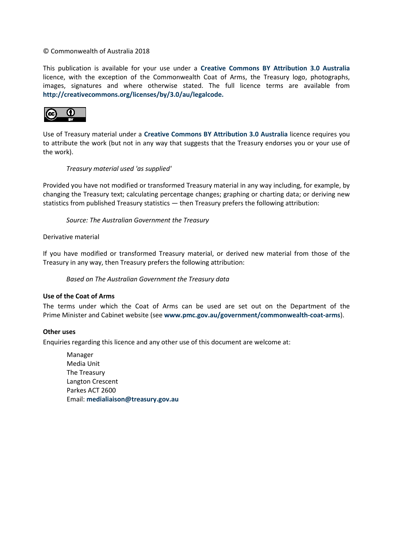#### © Commonwealth of Australia 2018

This publication is available for your use under a **[Creative Commons BY Attribution 3.0 Australia](http://creativecommons.org/licenses/by/3.0/au/deed.en)** licence, with the exception of the Commonwealth Coat of Arms, the Treasury logo, photographs, images, signatures and where otherwise stated. The full licence terms are available from **[http://creativecommons.org/licenses/by/3.0/au/legalcode.](http://creativecommons.org/licenses/by/3.0/au/legalcode)**



Use of Treasury material under a **[Creative Commons BY Attribution 3.0 Australia](http://creativecommons.org/licenses/by/3.0/au/deed.en)** licence requires you to attribute the work (but not in any way that suggests that the Treasury endorses you or your use of the work).

#### *Treasury material used 'as supplied'*

Provided you have not modified or transformed Treasury material in any way including, for example, by changing the Treasury text; calculating percentage changes; graphing or charting data; or deriving new statistics from published Treasury statistics — then Treasury prefers the following attribution:

*Source: The Australian Government the Treasury*

Derivative material

If you have modified or transformed Treasury material, or derived new material from those of the Treasury in any way, then Treasury prefers the following attribution:

*Based on The Australian Government the Treasury data*

#### **Use of the Coat of Arms**

The terms under which the Coat of Arms can be used are set out on the Department of the Prime Minister and Cabinet website (see **[www.pmc.gov.au/government/commonwealth-coat-arms](http://www.pmc.gov.au/government/commonwealth-coat-arms)**).

#### **Other uses**

Enquiries regarding this licence and any other use of this document are welcome at:

Manager Media Unit The Treasury Langton Crescent Parkes ACT 2600 Email: **[medialiaison@treasury.gov.au](mailto:medialiaison@treasury.gov.au)**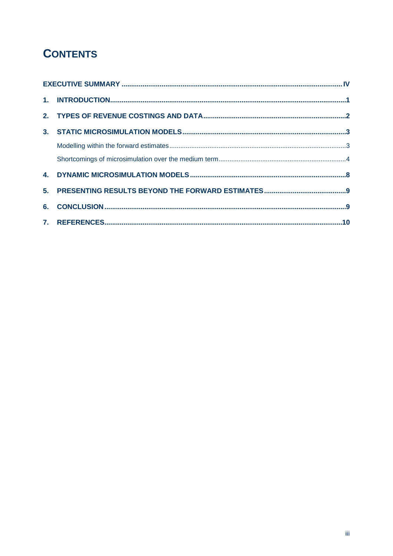# **CONTENTS**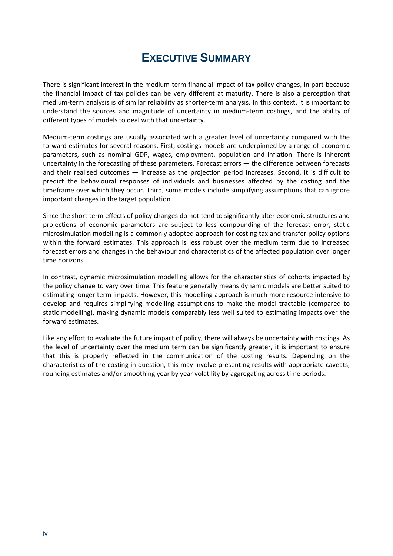# **EXECUTIVE SUMMARY**

<span id="page-3-0"></span>There is significant interest in the medium-term financial impact of tax policy changes, in part because the financial impact of tax policies can be very different at maturity. There is also a perception that medium-term analysis is of similar reliability as shorter-term analysis. In this context, it is important to understand the sources and magnitude of uncertainty in medium-term costings, and the ability of different types of models to deal with that uncertainty.

Medium-term costings are usually associated with a greater level of uncertainty compared with the forward estimates for several reasons. First, costings models are underpinned by a range of economic parameters, such as nominal GDP, wages, employment, population and inflation. There is inherent uncertainty in the forecasting of these parameters. Forecast errors — the difference between forecasts and their realised outcomes — increase as the projection period increases. Second, it is difficult to predict the behavioural responses of individuals and businesses affected by the costing and the timeframe over which they occur. Third, some models include simplifying assumptions that can ignore important changes in the target population.

Since the short term effects of policy changes do not tend to significantly alter economic structures and projections of economic parameters are subject to less compounding of the forecast error, static microsimulation modelling is a commonly adopted approach for costing tax and transfer policy options within the forward estimates. This approach is less robust over the medium term due to increased forecast errors and changes in the behaviour and characteristics of the affected population over longer time horizons.

In contrast, dynamic microsimulation modelling allows for the characteristics of cohorts impacted by the policy change to vary over time. This feature generally means dynamic models are better suited to estimating longer term impacts. However, this modelling approach is much more resource intensive to develop and requires simplifying modelling assumptions to make the model tractable (compared to static modelling), making dynamic models comparably less well suited to estimating impacts over the forward estimates.

Like any effort to evaluate the future impact of policy, there will always be uncertainty with costings. As the level of uncertainty over the medium term can be significantly greater, it is important to ensure that this is properly reflected in the communication of the costing results. Depending on the characteristics of the costing in question, this may involve presenting results with appropriate caveats, rounding estimates and/or smoothing year by year volatility by aggregating across time periods.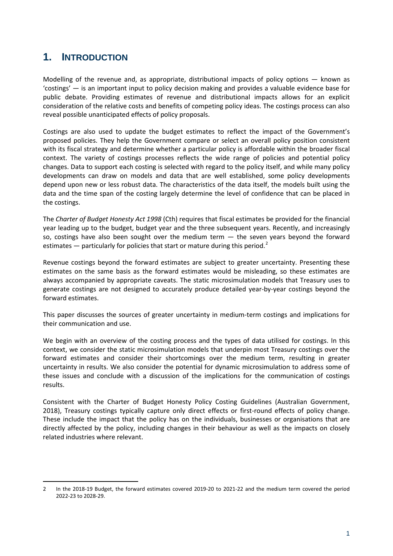# <span id="page-4-0"></span>**1. INTRODUCTION**

 $\overline{a}$ 

Modelling of the revenue and, as appropriate, distributional impacts of policy options  $-$  known as 'costings' — is an important input to policy decision making and provides a valuable evidence base for public debate. Providing estimates of revenue and distributional impacts allows for an explicit consideration of the relative costs and benefits of competing policy ideas. The costings process can also reveal possible unanticipated effects of policy proposals.

Costings are also used to update the budget estimates to reflect the impact of the Government's proposed policies. They help the Government compare or select an overall policy position consistent with its fiscal strategy and determine whether a particular policy is affordable within the broader fiscal context. The variety of costings processes reflects the wide range of policies and potential policy changes. Data to support each costing is selected with regard to the policy itself, and while many policy developments can draw on models and data that are well established, some policy developments depend upon new or less robust data. The characteristics of the data itself, the models built using the data and the time span of the costing largely determine the level of confidence that can be placed in the costings.

The *Charter of Budget Honesty Act 1998* (Cth) requires that fiscal estimates be provided for the financial year leading up to the budget, budget year and the three subsequent years. Recently, and increasingly so, costings have also been sought over the medium term — the seven years beyond the forward estimates  $-$  particularly for policies that start or mature during this period.<sup>[2](#page-4-1)</sup>

Revenue costings beyond the forward estimates are subject to greater uncertainty. Presenting these estimates on the same basis as the forward estimates would be misleading, so these estimates are always accompanied by appropriate caveats. The static microsimulation models that Treasury uses to generate costings are not designed to accurately produce detailed year-by-year costings beyond the forward estimates.

This paper discusses the sources of greater uncertainty in medium-term costings and implications for their communication and use.

We begin with an overview of the costing process and the types of data utilised for costings. In this context, we consider the static microsimulation models that underpin most Treasury costings over the forward estimates and consider their shortcomings over the medium term, resulting in greater uncertainty in results. We also consider the potential for dynamic microsimulation to address some of these issues and conclude with a discussion of the implications for the communication of costings results.

Consistent with the Charter of Budget Honesty Policy Costing Guidelines (Australian Government, 2018), Treasury costings typically capture only direct effects or first-round effects of policy change. These include the impact that the policy has on the individuals, businesses or organisations that are directly affected by the policy, including changes in their behaviour as well as the impacts on closely related industries where relevant.

<span id="page-4-1"></span><sup>2</sup> In the 2018-19 Budget, the forward estimates covered 2019-20 to 2021-22 and the medium term covered the period 2022-23 to 2028-29.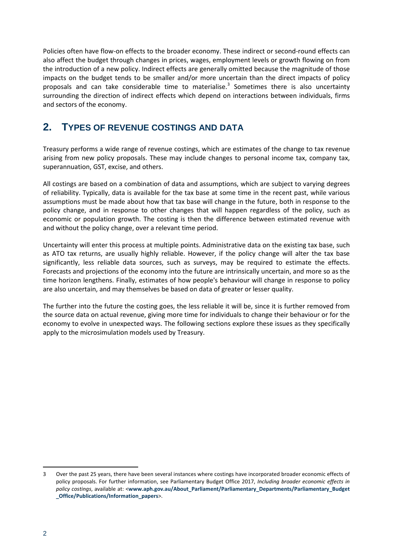Policies often have flow-on effects to the broader economy. These indirect or second-round effects can also affect the budget through changes in prices, wages, employment levels or growth flowing on from the introduction of a new policy. Indirect effects are generally omitted because the magnitude of those impacts on the budget tends to be smaller and/or more uncertain than the direct impacts of policy proposals and can take considerable time to materialise.<sup>[3](#page-5-1)</sup> Sometimes there is also uncertainty surrounding the direction of indirect effects which depend on interactions between individuals, firms and sectors of the economy.

# <span id="page-5-0"></span>**2. TYPES OF REVENUE COSTINGS AND DATA**

Treasury performs a wide range of revenue costings, which are estimates of the change to tax revenue arising from new policy proposals. These may include changes to personal income tax, company tax, superannuation, GST, excise, and others.

All costings are based on a combination of data and assumptions, which are subject to varying degrees of reliability. Typically, data is available for the tax base at some time in the recent past, while various assumptions must be made about how that tax base will change in the future, both in response to the policy change, and in response to other changes that will happen regardless of the policy, such as economic or population growth. The costing is then the difference between estimated revenue with and without the policy change, over a relevant time period.

Uncertainty will enter this process at multiple points. Administrative data on the existing tax base, such as ATO tax returns, are usually highly reliable. However, if the policy change will alter the tax base significantly, less reliable data sources, such as surveys, may be required to estimate the effects. Forecasts and projections of the economy into the future are intrinsically uncertain, and more so as the time horizon lengthens. Finally, estimates of how people's behaviour will change in response to policy are also uncertain, and may themselves be based on data of greater or lesser quality.

The further into the future the costing goes, the less reliable it will be, since it is further removed from the source data on actual revenue, giving more time for individuals to change their behaviour or for the economy to evolve in unexpected ways. The following sections explore these issues as they specifically apply to the microsimulation models used by Treasury.

 $\ddot{\phantom{a}}$ 

<span id="page-5-1"></span><sup>3</sup> Over the past 25 years, there have been several instances where costings have incorporated broader economic effects of policy proposals. For further information, see Parliamentary Budget Office 2017, *Including broader economic effects in policy costings*, available at: <**[www.aph.gov.au/About\\_Parliament/Parliamentary\\_Departments/Parliamentary\\_Budget](http://www.aph.gov.au/About_Parliament/Parliamentary_Departments/Parliamentary_Budget_Office/Publications/Information_papers) [\\_Office/Publications/Information\\_papers](http://www.aph.gov.au/About_Parliament/Parliamentary_Departments/Parliamentary_Budget_Office/Publications/Information_papers)**>.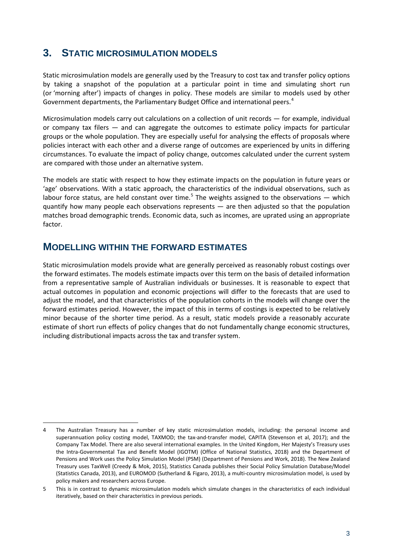# <span id="page-6-0"></span>**3. STATIC MICROSIMULATION MODELS**

Static microsimulation models are generally used by the Treasury to cost tax and transfer policy options by taking a snapshot of the population at a particular point in time and simulating short run (or 'morning after') impacts of changes in policy. These models are similar to models used by other Government departments, the Parliamentary Budget Office and international peers.<sup>[4](#page-6-2)</sup>

Microsimulation models carry out calculations on a collection of unit records — for example, individual or company tax filers — and can aggregate the outcomes to estimate policy impacts for particular groups or the whole population. They are especially useful for analysing the effects of proposals where policies interact with each other and a diverse range of outcomes are experienced by units in differing circumstances. To evaluate the impact of policy change, outcomes calculated under the current system are compared with those under an alternative system.

The models are static with respect to how they estimate impacts on the population in future years or 'age' observations. With a static approach, the characteristics of the individual observations, such as labour force status, are held constant over time.<sup>[5](#page-6-3)</sup> The weights assigned to the observations  $-$  which quantify how many people each observations represents — are then adjusted so that the population matches broad demographic trends. Economic data, such as incomes, are uprated using an appropriate factor.

### <span id="page-6-1"></span>**MODELLING WITHIN THE FORWARD ESTIMATES**

 $\overline{a}$ 

Static microsimulation models provide what are generally perceived as reasonably robust costings over the forward estimates. The models estimate impacts over this term on the basis of detailed information from a representative sample of Australian individuals or businesses. It is reasonable to expect that actual outcomes in population and economic projections will differ to the forecasts that are used to adjust the model, and that characteristics of the population cohorts in the models will change over the forward estimates period. However, the impact of this in terms of costings is expected to be relatively minor because of the shorter time period. As a result, static models provide a reasonably accurate estimate of short run effects of policy changes that do not fundamentally change economic structures, including distributional impacts across the tax and transfer system.

<span id="page-6-2"></span><sup>4</sup> The Australian Treasury has a number of key static microsimulation models, including: the personal income and superannuation policy costing model, TAXMOD; the tax-and-transfer model, CAPITA (Stevenson et al, 2017); and the Company Tax Model. There are also several international examples. In the United Kingdom, Her Majesty's Treasury uses the Intra-Governmental Tax and Benefit Model (IGOTM) (Office of National Statistics, 2018) and the Department of Pensions and Work uses the Policy Simulation Model (PSM) (Department of Pensions and Work, 2018). The New Zealand Treasury uses TaxWell (Creedy & Mok, 2015), Statistics Canada publishes their Social Policy Simulation Database/Model (Statistics Canada, 2013), and EUROMOD (Sutherland & Figaro, 2013), a multi-country microsimulation model, is used by policy makers and researchers across Europe.

<span id="page-6-3"></span><sup>5</sup> This is in contrast to dynamic microsimulation models which simulate changes in the characteristics of each individual iteratively, based on their characteristics in previous periods.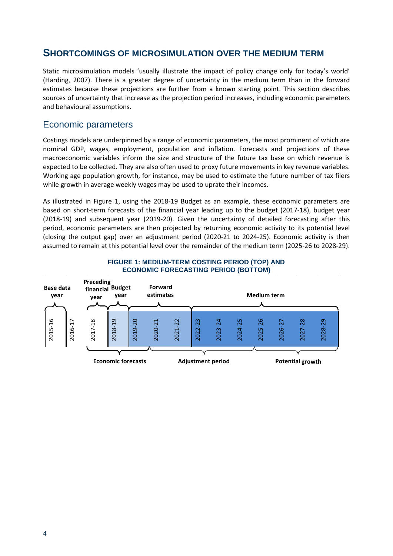### <span id="page-7-0"></span>**SHORTCOMINGS OF MICROSIMULATION OVER THE MEDIUM TERM**

Static microsimulation models 'usually illustrate the impact of policy change only for today's world' (Harding, 2007). There is a greater degree of uncertainty in the medium term than in the forward estimates because these projections are further from a known starting point. This section describes sources of uncertainty that increase as the projection period increases, including economic parameters and behavioural assumptions.

### Economic parameters

Costings models are underpinned by a range of economic parameters, the most prominent of which are nominal GDP, wages, employment, population and inflation. Forecasts and projections of these macroeconomic variables inform the size and structure of the future tax base on which revenue is expected to be collected. They are also often used to proxy future movements in key revenue variables. Working age population growth, for instance, may be used to estimate the future number of tax filers while growth in average weekly wages may be used to uprate their incomes.

As illustrated in Figure 1, using the 2018-19 Budget as an example, these economic parameters are based on short-term forecasts of the financial year leading up to the budget (2017-18), budget year (2018-19) and subsequent year (2019-20). Given the uncertainty of detailed forecasting after this period, economic parameters are then projected by returning economic activity to its potential level (closing the output gap) over an adjustment period (2020-21 to 2024-25). Economic activity is then assumed to remain at this potential level over the remainder of the medium term (2025-26 to 2028-29).



#### **FIGURE 1: MEDIUM-TERM COSTING PERIOD (TOP) AND ECONOMIC FORECASTING PERIOD (BOTTOM)**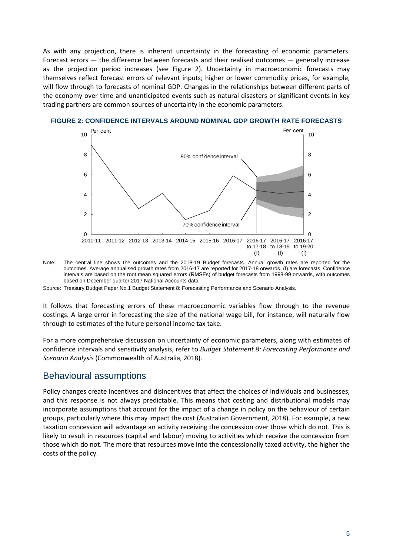As with any projection, there is inherent uncertainty in the forecasting of economic parameters. Forecast errors — the difference between forecasts and their realised outcomes — generally increase as the projection period increases (see Figure 2). Uncertainty in macroeconomic forecasts may themselves reflect forecast errors of relevant inputs; higher or lower commodity prices, for example, will flow through to forecasts of nominal GDP. Changes in the relationships between different parts of the economy over time and unanticipated events such as natural disasters or significant events in key trading partners are common sources of uncertainty in the economic parameters.



#### **FIGURE 2: CONFIDENCE INTERVALS AROUND NOMINAL GDP GROWTH RATE FORECASTS**

Note: The central line shows the outcomes and the 2018-19 Budget forecasts. Annual growth rates are reported for the outcomes. Average annualised growth rates from 2016-17 are reported for 2017-18 onwards. (f) are forecasts. Confidence intervals are based on the root mean squared errors (RMSEs) of budget forecasts from 1998-99 onwards, with outcomes based on December quarter 2017 National Accounts data.

Source: Treasury Budget Paper No.1 Budget Statement 8: Forecasting Performance and Scenario Analysis.

It follows that forecasting errors of these macroeconomic variables flow through to the revenue costings. A large error in forecasting the size of the national wage bill, for instance, will naturally flow through to estimates of the future personal income tax take.

For a more comprehensive discussion on uncertainty of economic parameters, along with estimates of confidence intervals and sensitivity analysis, refer to *Budget Statement 8: Forecasting Performance and Scenario Analysis* (Commonwealth of Australia, 2018).

#### Behavioural assumptions

Policy changes create incentives and disincentives that affect the choices of individuals and businesses, and this response is not always predictable. This means that costing and distributional models may incorporate assumptions that account for the impact of a change in policy on the behaviour of certain groups, particularly where this may impact the cost (Australian Government, 2018). For example, a new taxation concession will advantage an activity receiving the concession over those which do not. This is likely to result in resources (capital and labour) moving to activities which receive the concession from those which do not. The more that resources move into the concessionally taxed activity, the higher the costs of the policy.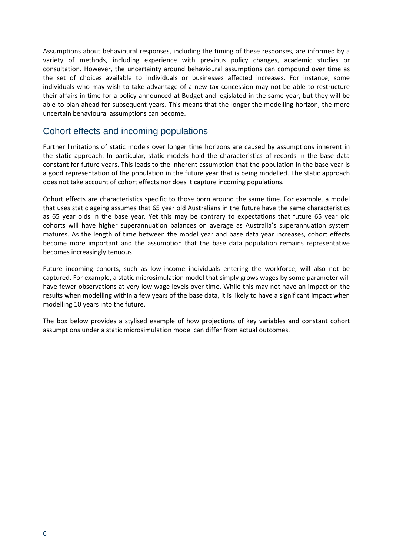Assumptions about behavioural responses, including the timing of these responses, are informed by a variety of methods, including experience with previous policy changes, academic studies or consultation. However, the uncertainty around behavioural assumptions can compound over time as the set of choices available to individuals or businesses affected increases. For instance, some individuals who may wish to take advantage of a new tax concession may not be able to restructure their affairs in time for a policy announced at Budget and legislated in the same year, but they will be able to plan ahead for subsequent years. This means that the longer the modelling horizon, the more uncertain behavioural assumptions can become.

### Cohort effects and incoming populations

Further limitations of static models over longer time horizons are caused by assumptions inherent in the static approach. In particular, static models hold the characteristics of records in the base data constant for future years. This leads to the inherent assumption that the population in the base year is a good representation of the population in the future year that is being modelled. The static approach does not take account of cohort effects nor does it capture incoming populations.

Cohort effects are characteristics specific to those born around the same time. For example, a model that uses static ageing assumes that 65 year old Australians in the future have the same characteristics as 65 year olds in the base year. Yet this may be contrary to expectations that future 65 year old cohorts will have higher superannuation balances on average as Australia's superannuation system matures. As the length of time between the model year and base data year increases, cohort effects become more important and the assumption that the base data population remains representative becomes increasingly tenuous.

Future incoming cohorts, such as low-income individuals entering the workforce, will also not be captured. For example, a static microsimulation model that simply grows wages by some parameter will have fewer observations at very low wage levels over time. While this may not have an impact on the results when modelling within a few years of the base data, it is likely to have a significant impact when modelling 10 years into the future.

The box below provides a stylised example of how projections of key variables and constant cohort assumptions under a static microsimulation model can differ from actual outcomes.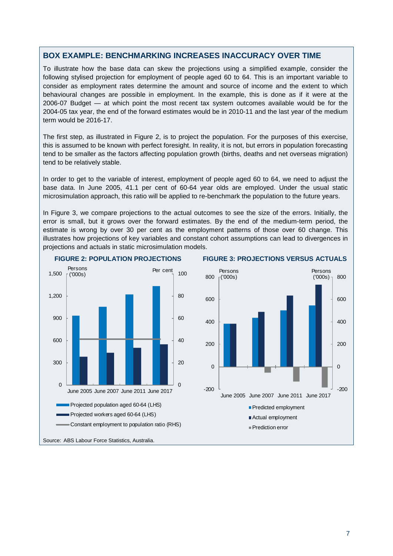#### **BOX EXAMPLE: BENCHMARKING INCREASES INACCURACY OVER TIME**

To illustrate how the base data can skew the projections using a simplified example, consider the following stylised projection for employment of people aged 60 to 64. This is an important variable to consider as employment rates determine the amount and source of income and the extent to which behavioural changes are possible in employment. In the example, this is done as if it were at the 2006-07 Budget — at which point the most recent tax system outcomes available would be for the 2004-05 tax year, the end of the forward estimates would be in 2010-11 and the last year of the medium term would be 2016-17.

The first step, as illustrated in Figure 2, is to project the population. For the purposes of this exercise, this is assumed to be known with perfect foresight. In reality, it is not, but errors in population forecasting tend to be smaller as the factors affecting population growth (births, deaths and net overseas migration) tend to be relatively stable.

In order to get to the variable of interest, employment of people aged 60 to 64, we need to adjust the base data. In June 2005, 41.1 per cent of 60-64 year olds are employed. Under the usual static microsimulation approach, this ratio will be applied to re-benchmark the population to the future years.

In Figure 3, we compare projections to the actual outcomes to see the size of the errors. Initially, the error is small, but it grows over the forward estimates. By the end of the medium-term period, the estimate is wrong by over 30 per cent as the employment patterns of those over 60 change. This illustrates how projections of key variables and constant cohort assumptions can lead to divergences in projections and actuals in static microsimulation models.



#### **FIGURE 2: POPULATION PROJECTIONS FIGURE 3: PROJECTIONS VERSUS ACTUALS**

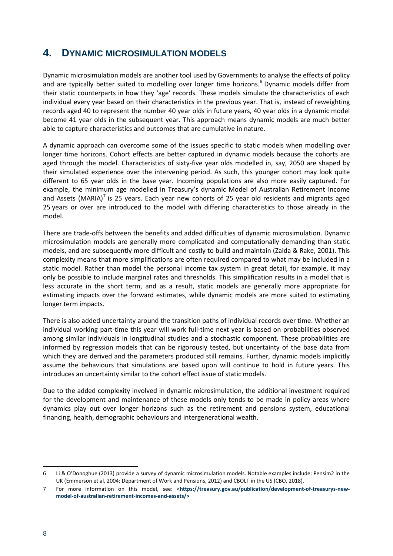# <span id="page-11-0"></span>**4. DYNAMIC MICROSIMULATION MODELS**

Dynamic microsimulation models are another tool used by Governments to analyse the effects of policy and are typically better suited to modelling over longer time horizons.<sup>[6](#page-11-1)</sup> Dynamic models differ from their static counterparts in how they 'age' records. These models simulate the characteristics of each individual every year based on their characteristics in the previous year. That is, instead of reweighting records aged 40 to represent the number 40 year olds in future years, 40 year olds in a dynamic model become 41 year olds in the subsequent year. This approach means dynamic models are much better able to capture characteristics and outcomes that are cumulative in nature.

A dynamic approach can overcome some of the issues specific to static models when modelling over longer time horizons. Cohort effects are better captured in dynamic models because the cohorts are aged through the model. Characteristics of sixty-five year olds modelled in, say, 2050 are shaped by their simulated experience over the intervening period. As such, this younger cohort may look quite different to 65 year olds in the base year. Incoming populations are also more easily captured. For example, the minimum age modelled in Treasury's dynamic Model of Australian Retirement Income and Assets (MARIA)<sup>[7](#page-11-2)</sup> is 25 years. Each year new cohorts of 25 year old residents and migrants aged 25 years or over are introduced to the model with differing characteristics to those already in the model.

There are trade-offs between the benefits and added difficulties of dynamic microsimulation. Dynamic microsimulation models are generally more complicated and computationally demanding than static models, and are subsequently more difficult and costly to build and maintain (Zaida & Rake, 2001). This complexity means that more simplifications are often required compared to what may be included in a static model. Rather than model the personal income tax system in great detail, for example, it may only be possible to include marginal rates and thresholds. This simplification results in a model that is less accurate in the short term, and as a result, static models are generally more appropriate for estimating impacts over the forward estimates, while dynamic models are more suited to estimating longer term impacts.

There is also added uncertainty around the transition paths of individual records over time. Whether an individual working part-time this year will work full-time next year is based on probabilities observed among similar individuals in longitudinal studies and a stochastic component. These probabilities are informed by regression models that can be rigorously tested, but uncertainty of the base data from which they are derived and the parameters produced still remains. Further, dynamic models implicitly assume the behaviours that simulations are based upon will continue to hold in future years. This introduces an uncertainty similar to the cohort effect issue of static models.

Due to the added complexity involved in dynamic microsimulation, the additional investment required for the development and maintenance of these models only tends to be made in policy areas where dynamics play out over longer horizons such as the retirement and pensions system, educational financing, health, demographic behaviours and intergenerational wealth.

 $\overline{a}$ 

<span id="page-11-1"></span><sup>6</sup> Li & O'Donoghue (2013) provide a survey of dynamic microsimulation models. Notable examples include: Pensim2 in the UK (Emmerson et al, 2004; Department of Work and Pensions, 2012) and CBOLT in the US (CBO, 2018).

<span id="page-11-2"></span><sup>7</sup> For more information on this model, see: <**https://treasury.gov.au/publication/development-of-treasurys-newmodel-of-australian-retirement-incomes-and-assets/>**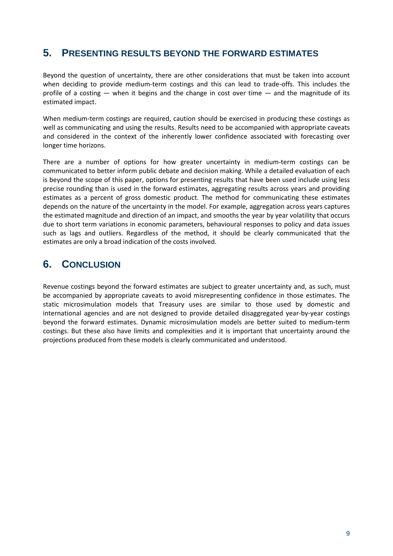# <span id="page-12-0"></span>**5. PRESENTING RESULTS BEYOND THE FORWARD ESTIMATES**

Beyond the question of uncertainty, there are other considerations that must be taken into account when deciding to provide medium-term costings and this can lead to trade-offs. This includes the profile of a costing — when it begins and the change in cost over time — and the magnitude of its estimated impact.

When medium-term costings are required, caution should be exercised in producing these costings as well as communicating and using the results. Results need to be accompanied with appropriate caveats and considered in the context of the inherently lower confidence associated with forecasting over longer time horizons.

There are a number of options for how greater uncertainty in medium-term costings can be communicated to better inform public debate and decision making. While a detailed evaluation of each is beyond the scope of this paper, options for presenting results that have been used include using less precise rounding than is used in the forward estimates, aggregating results across years and providing estimates as a percent of gross domestic product. The method for communicating these estimates depends on the nature of the uncertainty in the model. For example, aggregation across years captures the estimated magnitude and direction of an impact, and smooths the year by year volatility that occurs due to short term variations in economic parameters, behavioural responses to policy and data issues such as lags and outliers. Regardless of the method, it should be clearly communicated that the estimates are only a broad indication of the costs involved.

# <span id="page-12-1"></span>**6. CONCLUSION**

Revenue costings beyond the forward estimates are subject to greater uncertainty and, as such, must be accompanied by appropriate caveats to avoid misrepresenting confidence in those estimates. The static microsimulation models that Treasury uses are similar to those used by domestic and international agencies and are not designed to provide detailed disaggregated year-by-year costings beyond the forward estimates. Dynamic microsimulation models are better suited to medium-term costings. But these also have limits and complexities and it is important that uncertainty around the projections produced from these models is clearly communicated and understood.